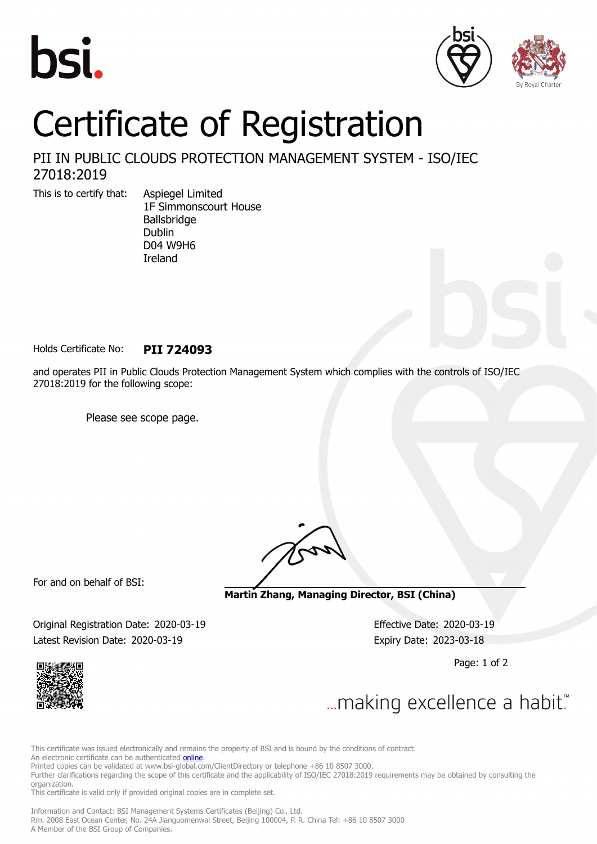





## Certificate of Registration

## PII IN PUBLIC CLOUDS PROTECTION MANAGEMENT SYSTEM - ISO/IEC 27018:2019

This is to certify that: Aspiegel Limited

1F Simmonscourt House Ballsbridge Dublin D04 W9H6 Ireland

Holds Certificate No: **PII 724093**

and operates PII in Public Clouds Protection Management System which complies with the controls of ISO/IEC 27018:2019 for the following scope:

Please see scope page.

For and on behalf of BSI:

**Martin Zhang, Managing Director, BSI (China)**

Original Registration Date: 2020-03-19 Effective Date: 2020-03-19 Latest Revision Date: 2020-03-19 Expiry Date: 2023-03-18

Page: 1 of 2



... making excellence a habit."

This certificate was issued electronically and remains the property of BSI and is bound by the conditions of contract.

An electronic certificate can be authenticated **[online](https://pgplus.bsigroup.com/CertificateValidation/CertificateValidator.aspx?CertificateNumber=PII+724093&ReIssueDate=19%2f03%2f2020&Template=cnen)**.

Printed copies can be validated at www.bsi-global.com/ClientDirectory or telephone +86 10 8507 3000.

Further clarifications regarding the scope of this certificate and the applicability of ISO/IEC 27018:2019 requirements may be obtained by consulting the organization.

This certificate is valid only if provided original copies are in complete set.

Information and Contact: BSI Management Systems Certificates (Beijing) Co., Ltd. Rm. 2008 East Ocean Center, No. 24A Jianguomenwai Street, Beijing 100004, P. R. China Tel: +86 10 8507 3000 A Member of the BSI Group of Companies.